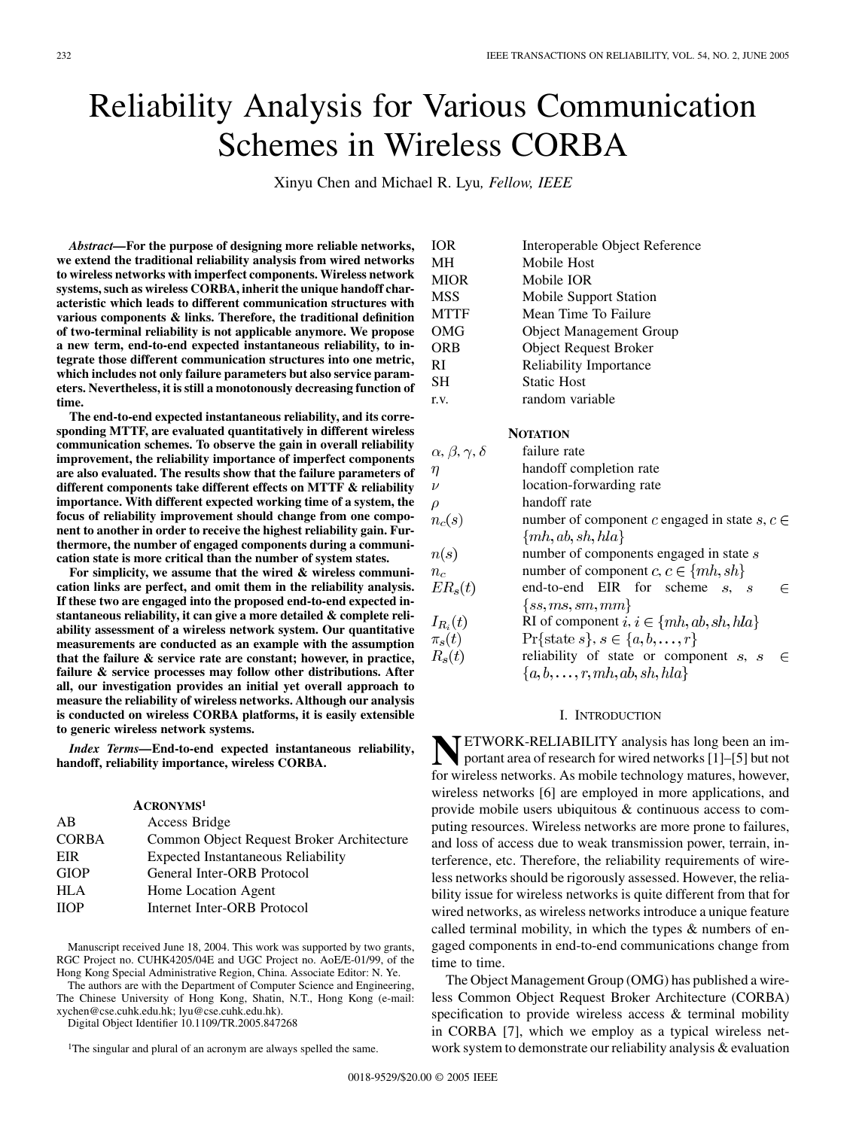# Reliability Analysis for Various Communication Schemes in Wireless CORBA

Xinyu Chen and Michael R. Lyu*, Fellow, IEEE*

*Abstract—***For the purpose of designing more reliable networks, we extend the traditional reliability analysis from wired networks to wireless networks with imperfect components. Wireless network systems, such as wireless CORBA, inherit the unique handoff characteristic which leads to different communication structures with various components & links. Therefore, the traditional definition of two-terminal reliability is not applicable anymore. We propose a new term, end-to-end expected instantaneous reliability, to integrate those different communication structures into one metric, which includes not only failure parameters but also service parameters. Nevertheless, it is still a monotonously decreasing function of time.**

**The end-to-end expected instantaneous reliability, and its corresponding MTTF, are evaluated quantitatively in different wireless communication schemes. To observe the gain in overall reliability improvement, the reliability importance of imperfect components are also evaluated. The results show that the failure parameters of different components take different effects on MTTF & reliability importance. With different expected working time of a system, the focus of reliability improvement should change from one component to another in order to receive the highest reliability gain. Furthermore, the number of engaged components during a communication state is more critical than the number of system states.**

**For simplicity, we assume that the wired & wireless communication links are perfect, and omit them in the reliability analysis. If these two are engaged into the proposed end-to-end expected instantaneous reliability, it can give a more detailed & complete reliability assessment of a wireless network system. Our quantitative measurements are conducted as an example with the assumption that the failure & service rate are constant; however, in practice, failure & service processes may follow other distributions. After all, our investigation provides an initial yet overall approach to measure the reliability of wireless networks. Although our analysis is conducted on wireless CORBA platforms, it is easily extensible to generic wireless network systems.**

*Index Terms—***End-to-end expected instantaneous reliability, handoff, reliability importance, wireless CORBA.**

|              | ACRONYMS <sup>1</sup>                     |
|--------------|-------------------------------------------|
| AB           | Access Bridge                             |
| <b>CORBA</b> | Common Object Request Broker Architecture |
| EIR          | <b>Expected Instantaneous Reliability</b> |
| <b>GIOP</b>  | General Inter-ORB Protocol                |
| <b>HLA</b>   | Home Location Agent                       |
| <b>IIOP</b>  | Internet Inter-ORB Protocol               |

Manuscript received June 18, 2004. This work was supported by two grants, RGC Project no. CUHK4205/04E and UGC Project no. AoE/E-01/99, of the Hong Kong Special Administrative Region, China. Associate Editor: N. Ye.

The authors are with the Department of Computer Science and Engineering, The Chinese University of Hong Kong, Shatin, N.T., Hong Kong (e-mail: xychen@cse.cuhk.edu.hk; lyu@cse.cuhk.edu.hk).

Digital Object Identifier 10.1109/TR.2005.847268

<sup>1</sup>The singular and plural of an acronym are always spelled the same.

| <b>IOR</b>  | Interoperable Object Reference |
|-------------|--------------------------------|
| MН          | Mobile Host                    |
| <b>MIOR</b> | Mobile IOR                     |
| <b>MSS</b>  | Mobile Support Station         |
| <b>MTTF</b> | Mean Time To Failure           |
| OMG         | <b>Object Management Group</b> |
| <b>ORB</b>  | <b>Object Request Broker</b>   |
| RI          | <b>Reliability Importance</b>  |
| <b>SH</b>   | <b>Static Host</b>             |
| r.v.        | random variable                |

## **NOTATION**

| $\alpha, \beta, \gamma, \delta$ | failure rate                                      |
|---------------------------------|---------------------------------------------------|
| $\eta$                          | handoff completion rate                           |
| $\nu$                           | location-forwarding rate                          |
| $\rho$                          | handoff rate                                      |
| $n_c(s)$                        | number of component c engaged in state s, $c \in$ |
|                                 | $\{mh, ab, sh, hla\}$                             |
| n(s)                            | number of components engaged in state s           |
| $n_c$                           | number of component $c, c \in \{mh, sh\}$         |
| $ER_s(t)$                       | end-to-end EIR for scheme s, s                    |
|                                 | $\{ss, ms, sm, mm\}$                              |
| $I_{R_i}(t)$                    | RI of component $i, i \in \{mh, ab, sh, hla\}$    |
| $\pi_s(t)$                      | $\Pr{\text{state } s}, s \in \{a, b, \ldots, r\}$ |
| $R_{s}(t)$                      | reliability of state or component $s$ , $s$       |
|                                 | ${a,b,\ldots,r,mh,ab,sh,hla}$                     |

#### I. INTRODUCTION

**NETWORK-RELIABILITY** analysis has long been an im-<br>portant area of research for wired networks [[1\]](#page-10-0)–[\[5](#page-10-0)] but not for wireless networks. As mobile technology matures, however, wireless networks [\[6](#page-10-0)] are employed in more applications, and provide mobile users ubiquitous & continuous access to computing resources. Wireless networks are more prone to failures, and loss of access due to weak transmission power, terrain, interference, etc. Therefore, the reliability requirements of wireless networks should be rigorously assessed. However, the reliability issue for wireless networks is quite different from that for wired networks, as wireless networks introduce a unique feature called terminal mobility, in which the types & numbers of engaged components in end-to-end communications change from time to time.

The Object Management Group (OMG) has published a wireless Common Object Request Broker Architecture (CORBA) specification to provide wireless access & terminal mobility in CORBA [[7\]](#page-10-0), which we employ as a typical wireless network system to demonstrate our reliability analysis  $\&$  evaluation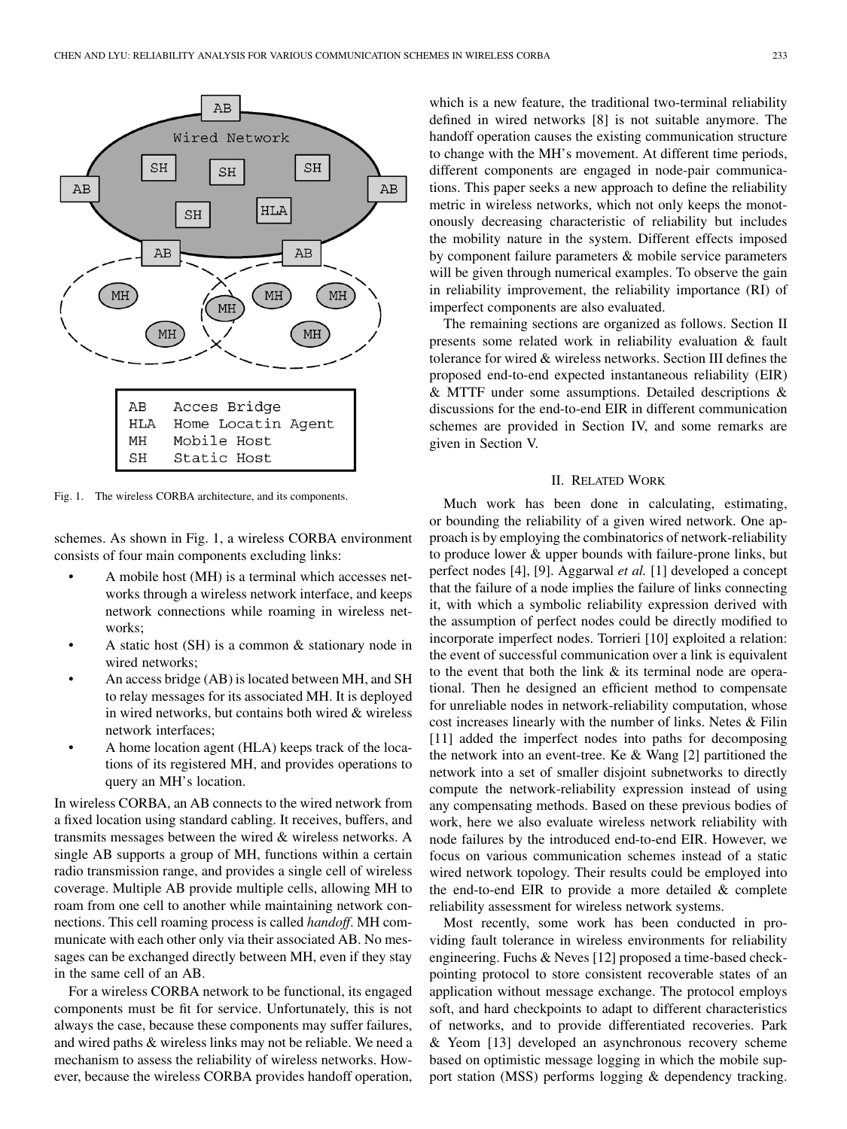

Fig. 1. The wireless CORBA architecture, and its components.

schemes. As shown in Fig. 1, a wireless CORBA environment consists of four main components excluding links:

- A mobile host (MH) is a terminal which accesses networks through a wireless network interface, and keeps network connections while roaming in wireless networks;
- A static host (SH) is a common & stationary node in wired networks;
- An access bridge (AB) is located between MH, and SH to relay messages for its associated MH. It is deployed in wired networks, but contains both wired & wireless network interfaces;
- A home location agent (HLA) keeps track of the locations of its registered MH, and provides operations to query an MH's location.

In wireless CORBA, an AB connects to the wired network from a fixed location using standard cabling. It receives, buffers, and transmits messages between the wired & wireless networks. A single AB supports a group of MH, functions within a certain radio transmission range, and provides a single cell of wireless coverage. Multiple AB provide multiple cells, allowing MH to roam from one cell to another while maintaining network connections. This cell roaming process is called *handoff*. MH communicate with each other only via their associated AB. No messages can be exchanged directly between MH, even if they stay in the same cell of an AB.

For a wireless CORBA network to be functional, its engaged components must be fit for service. Unfortunately, this is not always the case, because these components may suffer failures, and wired paths & wireless links may not be reliable. We need a mechanism to assess the reliability of wireless networks. However, because the wireless CORBA provides handoff operation,

which is a new feature, the traditional two-terminal reliability defined in wired networks [[8](#page-10-0)] is not suitable anymore. The handoff operation causes the existing communication structure to change with the MH's movement. At different time periods, different components are engaged in node-pair communications. This paper seeks a new approach to define the reliability metric in wireless networks, which not only keeps the monotonously decreasing characteristic of reliability but includes the mobility nature in the system. Different effects imposed by component failure parameters & mobile service parameters will be given through numerical examples. To observe the gain in reliability improvement, the reliability importance (RI) of imperfect components are also evaluated.

The remaining sections are organized as follows. Section II presents some related work in reliability evaluation & fault tolerance for wired & wireless networks. Section III defines the proposed end-to-end expected instantaneous reliability (EIR) & MTTF under some assumptions. Detailed descriptions & discussions for the end-to-end EIR in different communication schemes are provided in Section IV, and some remarks are given in Section V.

#### II. RELATED WORK

Much work has been done in calculating, estimating, or bounding the reliability of a given wired network. One approach is by employing the combinatorics of network-reliability to produce lower & upper bounds with failure-prone links, but perfect nodes [[4\]](#page-10-0), [[9\]](#page-10-0). Aggarwal *et al.* [[1\]](#page-10-0) developed a concept that the failure of a node implies the failure of links connecting it, with which a symbolic reliability expression derived with the assumption of perfect nodes could be directly modified to incorporate imperfect nodes. Torrieri [[10\]](#page-10-0) exploited a relation: the event of successful communication over a link is equivalent to the event that both the link & its terminal node are operational. Then he designed an efficient method to compensate for unreliable nodes in network-reliability computation, whose cost increases linearly with the number of links. Netes & Filin [\[11](#page-10-0)] added the imperfect nodes into paths for decomposing the network into an event-tree. Ke & Wang [\[2](#page-10-0)] partitioned the network into a set of smaller disjoint subnetworks to directly compute the network-reliability expression instead of using any compensating methods. Based on these previous bodies of work, here we also evaluate wireless network reliability with node failures by the introduced end-to-end EIR. However, we focus on various communication schemes instead of a static wired network topology. Their results could be employed into the end-to-end EIR to provide a more detailed & complete reliability assessment for wireless network systems.

Most recently, some work has been conducted in providing fault tolerance in wireless environments for reliability engineering. Fuchs & Neves [[12\]](#page-10-0) proposed a time-based checkpointing protocol to store consistent recoverable states of an application without message exchange. The protocol employs soft, and hard checkpoints to adapt to different characteristics of networks, and to provide differentiated recoveries. Park & Yeom [\[13](#page-10-0)] developed an asynchronous recovery scheme based on optimistic message logging in which the mobile support station (MSS) performs logging & dependency tracking.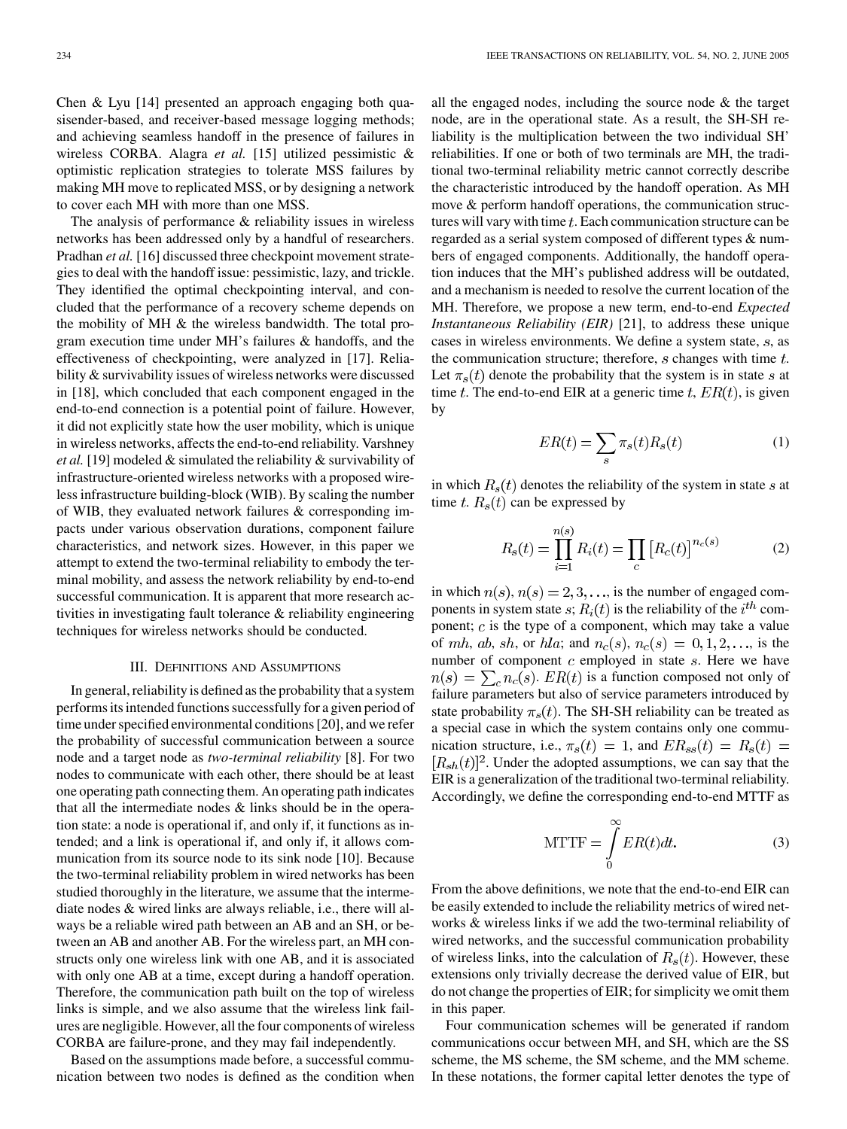Chen & Lyu [[14\]](#page-10-0) presented an approach engaging both quasisender-based, and receiver-based message logging methods; and achieving seamless handoff in the presence of failures in wireless CORBA. Alagra *et al.* [[15\]](#page-10-0) utilized pessimistic & optimistic replication strategies to tolerate MSS failures by making MH move to replicated MSS, or by designing a network to cover each MH with more than one MSS.

The analysis of performance & reliability issues in wireless networks has been addressed only by a handful of researchers. Pradhan *et al.* [[16\]](#page-10-0) discussed three checkpoint movement strategies to deal with the handoff issue: pessimistic, lazy, and trickle. They identified the optimal checkpointing interval, and concluded that the performance of a recovery scheme depends on the mobility of MH & the wireless bandwidth. The total program execution time under MH's failures & handoffs, and the effectiveness of checkpointing, were analyzed in [[17\]](#page-10-0). Reliability & survivability issues of wireless networks were discussed in [[18\]](#page-10-0), which concluded that each component engaged in the end-to-end connection is a potential point of failure. However, it did not explicitly state how the user mobility, which is unique in wireless networks, affects the end-to-end reliability. Varshney *et al.* [\[19](#page-10-0)] modeled & simulated the reliability & survivability of infrastructure-oriented wireless networks with a proposed wireless infrastructure building-block (WIB). By scaling the number of WIB, they evaluated network failures & corresponding impacts under various observation durations, component failure characteristics, and network sizes. However, in this paper we attempt to extend the two-terminal reliability to embody the terminal mobility, and assess the network reliability by end-to-end successful communication. It is apparent that more research activities in investigating fault tolerance & reliability engineering techniques for wireless networks should be conducted.

## III. DEFINITIONS AND ASSUMPTIONS

In general, reliability is defined as the probability that a system performs its intended functions successfully for a given period of time under specified environmental conditions [\[20](#page-10-0)], and we refer the probability of successful communication between a source node and a target node as *two-terminal reliability* [\[8](#page-10-0)]. For two nodes to communicate with each other, there should be at least one operating path connecting them. An operating path indicates that all the intermediate nodes & links should be in the operation state: a node is operational if, and only if, it functions as intended; and a link is operational if, and only if, it allows communication from its source node to its sink node [\[10](#page-10-0)]. Because the two-terminal reliability problem in wired networks has been studied thoroughly in the literature, we assume that the intermediate nodes & wired links are always reliable, i.e., there will always be a reliable wired path between an AB and an SH, or between an AB and another AB. For the wireless part, an MH constructs only one wireless link with one AB, and it is associated with only one AB at a time, except during a handoff operation. Therefore, the communication path built on the top of wireless links is simple, and we also assume that the wireless link failures are negligible. However, all the four components of wireless CORBA are failure-prone, and they may fail independently.

Based on the assumptions made before, a successful communication between two nodes is defined as the condition when

all the engaged nodes, including the source node & the target node, are in the operational state. As a result, the SH-SH reliability is the multiplication between the two individual SH' reliabilities. If one or both of two terminals are MH, the traditional two-terminal reliability metric cannot correctly describe the characteristic introduced by the handoff operation. As MH move & perform handoff operations, the communication structures will vary with time  $t$ . Each communication structure can be regarded as a serial system composed of different types & numbers of engaged components. Additionally, the handoff operation induces that the MH's published address will be outdated, and a mechanism is needed to resolve the current location of the MH. Therefore, we propose a new term, end-to-end *Expected Instantaneous Reliability (EIR)* [\[21](#page-10-0)], to address these unique cases in wireless environments. We define a system state,  $s$ , as the communication structure; therefore,  $s$  changes with time  $t$ . Let  $\pi_s(t)$  denote the probability that the system is in state s at time t. The end-to-end EIR at a generic time t,  $ER(t)$ , is given by

$$
ER(t) = \sum_{s} \pi_s(t) R_s(t)
$$
 (1)

in which  $R_s(t)$  denotes the reliability of the system in state s at time t.  $R_s(t)$  can be expressed by

$$
R_s(t) = \prod_{i=1}^{n(s)} R_i(t) = \prod_c [R_c(t)]^{n_c(s)}
$$
(2)

in which  $n(s)$ ,  $n(s) = 2, 3, \dots$ , is the number of engaged components in system state  $s$ ;  $R_i(t)$  is the reliability of the  $i^{th}$  component;  $c$  is the type of a component, which may take a value of mh, ab, sh, or hla; and  $n_c(s)$ ,  $n_c(s) = 0, 1, 2, \ldots$ , is the number of component  $c$  employed in state  $s$ . Here we have  $n(s) = \sum_{c} n_c(s)$ .  $ER(t)$  is a function composed not only of failure parameters but also of service parameters introduced by state probability  $\pi_s(t)$ . The SH-SH reliability can be treated as a special case in which the system contains only one communication structure, i.e.,  $\pi_s(t) = 1$ , and  $ER_{ss}(t) = R_s(t) =$  $[R_{sh}(t)]^2$ . Under the adopted assumptions, we can say that the EIR is a generalization of the traditional two-terminal reliability. Accordingly, we define the corresponding end-to-end MTTF as

$$
MTTF = \int_{0}^{\infty} ER(t)dt.
$$
 (3)

From the above definitions, we note that the end-to-end EIR can be easily extended to include the reliability metrics of wired networks & wireless links if we add the two-terminal reliability of wired networks, and the successful communication probability of wireless links, into the calculation of  $R_s(t)$ . However, these extensions only trivially decrease the derived value of EIR, but do not change the properties of EIR; for simplicity we omit them in this paper.

Four communication schemes will be generated if random communications occur between MH, and SH, which are the SS scheme, the MS scheme, the SM scheme, and the MM scheme. In these notations, the former capital letter denotes the type of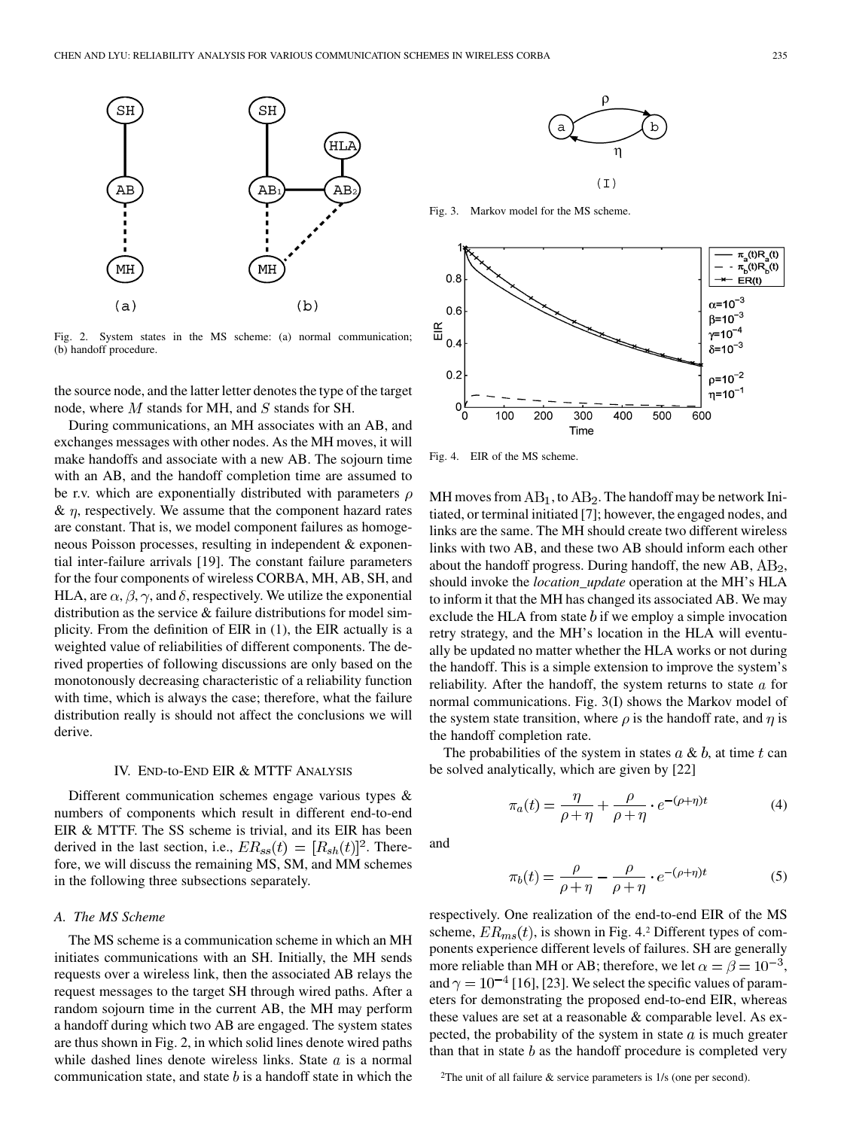

Fig. 2. System states in the MS scheme: (a) normal communication; (b) handoff procedure.

the source node, and the latter letter denotes the type of the target node, where  $M$  stands for MH, and  $S$  stands for SH.

During communications, an MH associates with an AB, and exchanges messages with other nodes. As the MH moves, it will make handoffs and associate with a new AB. The sojourn time with an AB, and the handoff completion time are assumed to be r.v. which are exponentially distributed with parameters  $\rho$  $\& \eta$ , respectively. We assume that the component hazard rates are constant. That is, we model component failures as homogeneous Poisson processes, resulting in independent & exponential inter-failure arrivals [\[19](#page-10-0)]. The constant failure parameters for the four components of wireless CORBA, MH, AB, SH, and HLA, are  $\alpha$ ,  $\beta$ ,  $\gamma$ , and  $\delta$ , respectively. We utilize the exponential distribution as the service & failure distributions for model simplicity. From the definition of EIR in (1), the EIR actually is a weighted value of reliabilities of different components. The derived properties of following discussions are only based on the monotonously decreasing characteristic of a reliability function with time, which is always the case; therefore, what the failure distribution really is should not affect the conclusions we will derive.

## IV. END-to-END EIR & MTTF ANALYSIS

Different communication schemes engage various types & numbers of components which result in different end-to-end EIR & MTTF. The SS scheme is trivial, and its EIR has been derived in the last section, i.e.,  $ER_{ss}(t) = [R_{sh}(t)]^2$ . Therefore, we will discuss the remaining MS, SM, and MM schemes in the following three subsections separately.

# *A. The MS Scheme*

The MS scheme is a communication scheme in which an MH initiates communications with an SH. Initially, the MH sends requests over a wireless link, then the associated AB relays the request messages to the target SH through wired paths. After a random sojourn time in the current AB, the MH may perform a handoff during which two AB are engaged. The system states are thus shown in Fig. 2, in which solid lines denote wired paths while dashed lines denote wireless links. State  $a$  is a normal communication state, and state  $b$  is a handoff state in which the



Fig. 3. Markov model for the MS scheme.



Fig. 4. EIR of the MS scheme.

MH moves from  $AB_1$ , to  $AB_2$ . The handoff may be network Initiated, or terminal initiated [[7\]](#page-10-0); however, the engaged nodes, and links are the same. The MH should create two different wireless links with two AB, and these two AB should inform each other about the handoff progress. During handoff, the new  $AB$ ,  $AB_2$ , should invoke the *location\_update* operation at the MH's HLA to inform it that the MH has changed its associated AB. We may exclude the HLA from state  $b$  if we employ a simple invocation retry strategy, and the MH's location in the HLA will eventually be updated no matter whether the HLA works or not during the handoff. This is a simple extension to improve the system's reliability. After the handoff, the system returns to state  $a$  for normal communications. Fig. 3(I) shows the Markov model of the system state transition, where  $\rho$  is the handoff rate, and  $\eta$  is the handoff completion rate.

The probabilities of the system in states  $a \& b$ , at time t can be solved analytically, which are given by [[22\]](#page-10-0)

$$
\pi_a(t) = \frac{\eta}{\rho + \eta} + \frac{\rho}{\rho + \eta} \cdot e^{-(\rho + \eta)t}
$$
 (4)

and

$$
\pi_b(t) = \frac{\rho}{\rho + \eta} - \frac{\rho}{\rho + \eta} \cdot e^{-(\rho + \eta)t}
$$
\n(5)

respectively. One realization of the end-to-end EIR of the MS scheme,  $ER_{ms}(t)$ , is shown in Fig. 4.2 Different types of components experience different levels of failures. SH are generally more reliable than MH or AB; therefore, we let  $\alpha = \beta = 10^{-3}$ , and  $\gamma = 10^{-4}$  [\[16](#page-10-0)], [\[23](#page-10-0)]. We select the specific values of parameters for demonstrating the proposed end-to-end EIR, whereas these values are set at a reasonable & comparable level. As expected, the probability of the system in state  $a$  is much greater than that in state  $b$  as the handoff procedure is completed very

<sup>2</sup>The unit of all failure  $\&$  service parameters is 1/s (one per second).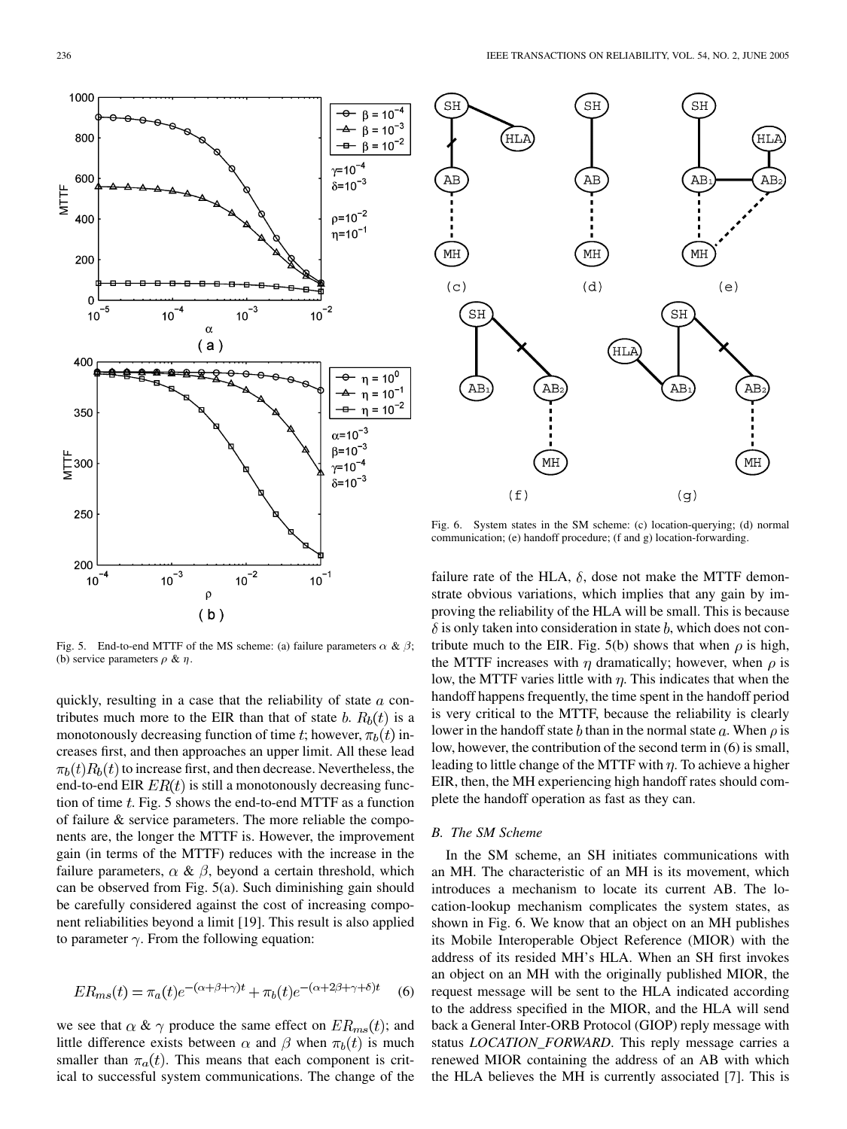Fig. 5. End-to-end MTTF of the MS scheme: (a) failure parameters  $\alpha \& \beta$ ; (b) service parameters  $\rho \& \eta$ .

quickly, resulting in a case that the reliability of state  $a$  contributes much more to the EIR than that of state b.  $R_b(t)$  is a monotonously decreasing function of time t; however,  $\pi_b(t)$  increases first, and then approaches an upper limit. All these lead  $\pi_b(t)R_b(t)$  to increase first, and then decrease. Nevertheless, the end-to-end EIR  $ER(t)$  is still a monotonously decreasing function of time  $t$ . Fig. 5 shows the end-to-end MTTF as a function of failure & service parameters. The more reliable the components are, the longer the MTTF is. However, the improvement gain (in terms of the MTTF) reduces with the increase in the failure parameters,  $\alpha \& \beta$ , beyond a certain threshold, which can be observed from Fig. 5(a). Such diminishing gain should be carefully considered against the cost of increasing component reliabilities beyond a limit [\[19](#page-10-0)]. This result is also applied to parameter  $\gamma$ . From the following equation:

$$
ER_{ms}(t) = \pi_a(t)e^{-(\alpha+\beta+\gamma)t} + \pi_b(t)e^{-(\alpha+2\beta+\gamma+\delta)t}
$$
 (6)

we see that  $\alpha \& \gamma$  produce the same effect on  $ER_{ms}(t)$ ; and little difference exists between  $\alpha$  and  $\beta$  when  $\pi_b(t)$  is much smaller than  $\pi_a(t)$ . This means that each component is critical to successful system communications. The change of the

Fig. 6. System states in the SM scheme: (c) location-querying; (d) normal communication; (e) handoff procedure; (f and g) location-forwarding.

failure rate of the HLA,  $\delta$ , dose not make the MTTF demonstrate obvious variations, which implies that any gain by improving the reliability of the HLA will be small. This is because  $\delta$  is only taken into consideration in state b, which does not contribute much to the EIR. Fig. 5(b) shows that when  $\rho$  is high, the MTTF increases with  $\eta$  dramatically; however, when  $\rho$  is low, the MTTF varies little with  $\eta$ . This indicates that when the handoff happens frequently, the time spent in the handoff period is very critical to the MTTF, because the reliability is clearly lower in the handoff state b than in the normal state a. When  $\rho$  is low, however, the contribution of the second term in (6) is small, leading to little change of the MTTF with  $\eta$ . To achieve a higher EIR, then, the MH experiencing high handoff rates should complete the handoff operation as fast as they can.

# *B. The SM Scheme*

In the SM scheme, an SH initiates communications with an MH. The characteristic of an MH is its movement, which introduces a mechanism to locate its current AB. The location-lookup mechanism complicates the system states, as shown in Fig. 6. We know that an object on an MH publishes its Mobile Interoperable Object Reference (MIOR) with the address of its resided MH's HLA. When an SH first invokes an object on an MH with the originally published MIOR, the request message will be sent to the HLA indicated according to the address specified in the MIOR, and the HLA will send back a General Inter-ORB Protocol (GIOP) reply message with status *LOCATION\_FORWARD*. This reply message carries a renewed MIOR containing the address of an AB with which the HLA believes the MH is currently associated [\[7](#page-10-0)]. This is



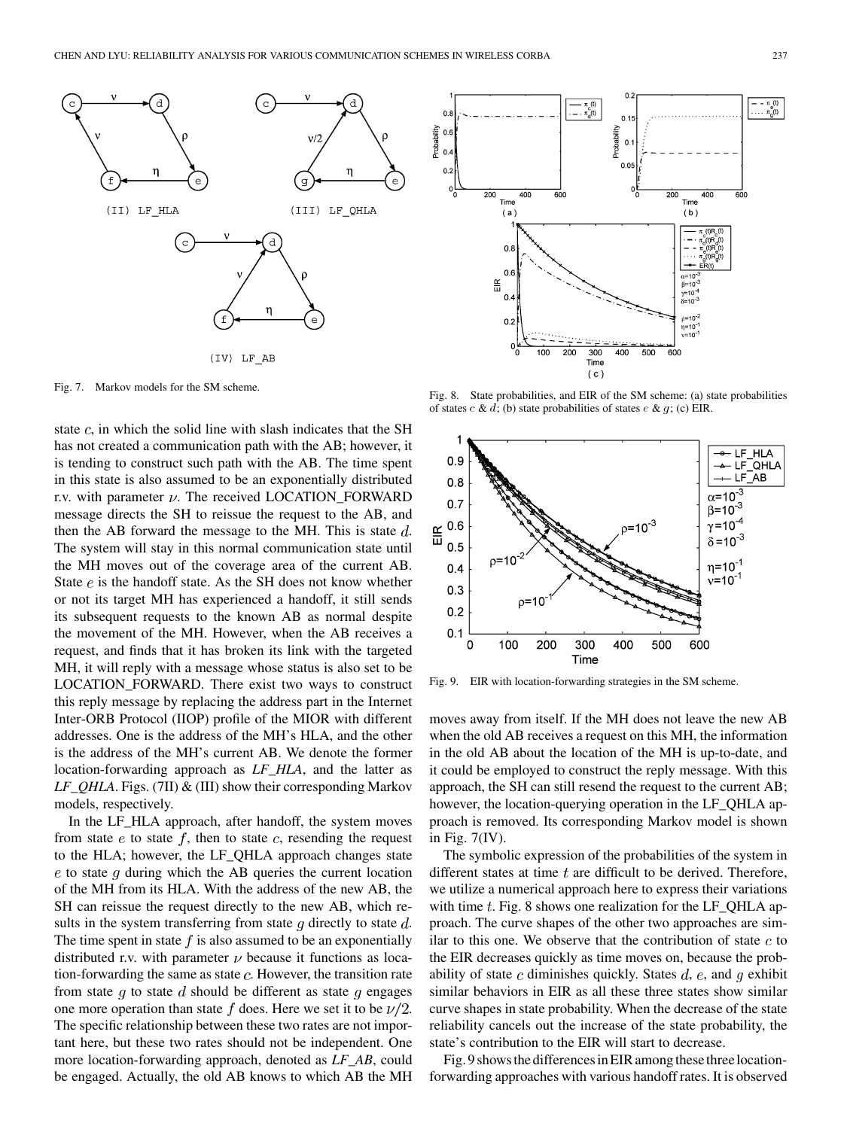

Fig. 7. Markov models for the SM scheme.

state  $c$ , in which the solid line with slash indicates that the SH has not created a communication path with the AB; however, it is tending to construct such path with the AB. The time spent in this state is also assumed to be an exponentially distributed r.v. with parameter  $\nu$ . The received LOCATION\_FORWARD message directs the SH to reissue the request to the AB, and then the AB forward the message to the MH. This is state  $d$ . The system will stay in this normal communication state until the MH moves out of the coverage area of the current AB. State  $e$  is the handoff state. As the SH does not know whether or not its target MH has experienced a handoff, it still sends its subsequent requests to the known AB as normal despite the movement of the MH. However, when the AB receives a request, and finds that it has broken its link with the targeted MH, it will reply with a message whose status is also set to be LOCATION\_FORWARD. There exist two ways to construct this reply message by replacing the address part in the Internet Inter-ORB Protocol (IIOP) profile of the MIOR with different addresses. One is the address of the MH's HLA, and the other is the address of the MH's current AB. We denote the former location-forwarding approach as *LF\_HLA*, and the latter as *LF\_QHLA*. Figs. (7II) & (III) show their corresponding Markov models, respectively.

In the LF\_HLA approach, after handoff, the system moves from state  $e$  to state  $f$ , then to state  $c$ , resending the request to the HLA; however, the LF\_QHLA approach changes state  $e$  to state q during which the AB queries the current location of the MH from its HLA. With the address of the new AB, the SH can reissue the request directly to the new AB, which results in the system transferring from state  $q$  directly to state  $d$ . The time spent in state  $f$  is also assumed to be an exponentially distributed r.v. with parameter  $\nu$  because it functions as location-forwarding the same as state  $c$ . However, the transition rate from state g to state d should be different as state g engages one more operation than state f does. Here we set it to be  $\nu/2$ . The specific relationship between these two rates are not important here, but these two rates should not be independent. One more location-forwarding approach, denoted as *LF\_AB*, could be engaged. Actually, the old AB knows to which AB the MH



Fig. 8. State probabilities, and EIR of the SM scheme: (a) state probabilities of states  $c \& d$ ; (b) state probabilities of states  $e \& g$ ; (c) EIR.



Fig. 9. EIR with location-forwarding strategies in the SM scheme.

moves away from itself. If the MH does not leave the new AB when the old AB receives a request on this MH, the information in the old AB about the location of the MH is up-to-date, and it could be employed to construct the reply message. With this approach, the SH can still resend the request to the current AB; however, the location-querying operation in the LF\_QHLA approach is removed. Its corresponding Markov model is shown in Fig. 7(IV).

The symbolic expression of the probabilities of the system in different states at time  $t$  are difficult to be derived. Therefore, we utilize a numerical approach here to express their variations with time  $t$ . Fig. 8 shows one realization for the LF QHLA approach. The curve shapes of the other two approaches are similar to this one. We observe that the contribution of state  $c$  to the EIR decreases quickly as time moves on, because the probability of state c diminishes quickly. States  $d$ ,  $e$ , and  $q$  exhibit similar behaviors in EIR as all these three states show similar curve shapes in state probability. When the decrease of the state reliability cancels out the increase of the state probability, the state's contribution to the EIR will start to decrease.

Fig. 9 showsthe differencesin EIR among these three locationforwarding approaches with various handoff rates. It is observed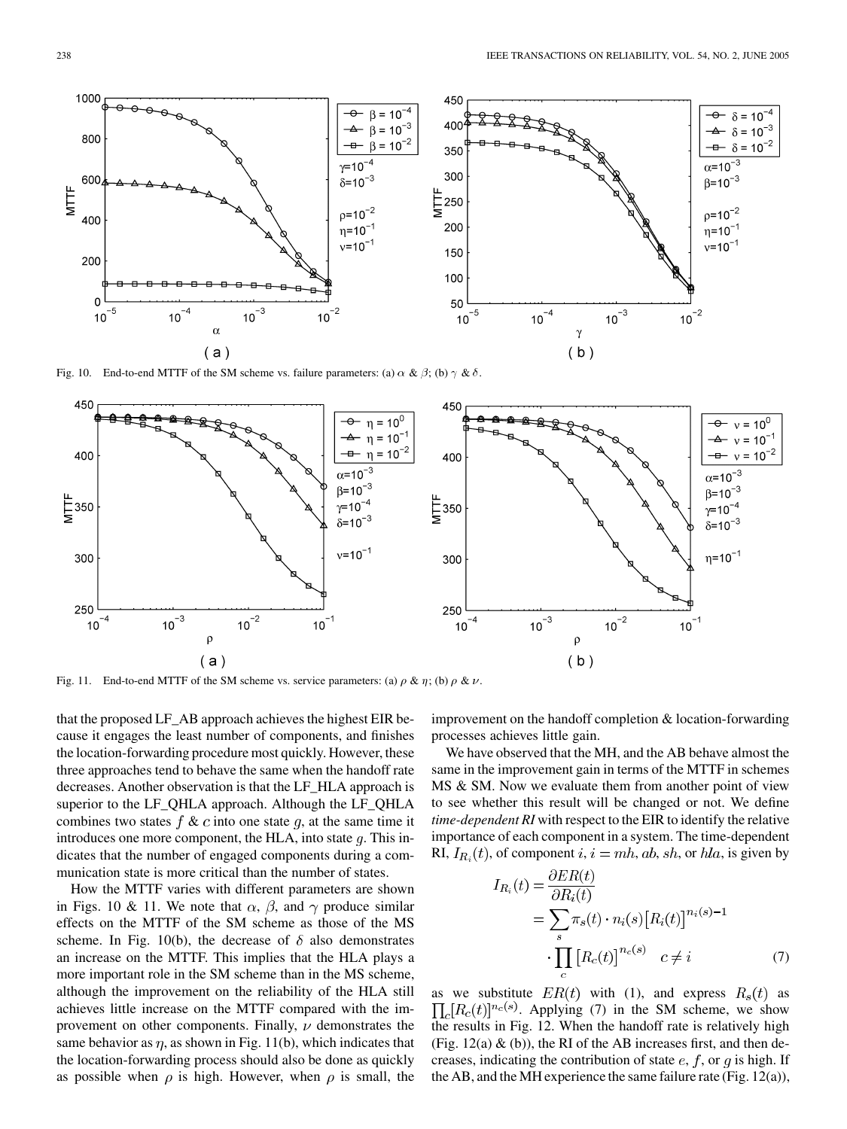

Fig. 10. End-to-end MTTF of the SM scheme vs. failure parameters: (a)  $\alpha \& \beta$ ; (b)  $\gamma \& \delta$ .



Fig. 11. End-to-end MTTF of the SM scheme vs. service parameters: (a)  $\rho \& \eta$ ; (b)  $\rho \& \nu$ .

that the proposed LF\_AB approach achieves the highest EIR because it engages the least number of components, and finishes the location-forwarding procedure most quickly. However, these three approaches tend to behave the same when the handoff rate decreases. Another observation is that the LF\_HLA approach is superior to the LF\_QHLA approach. Although the LF\_QHLA combines two states  $f \& c$  into one state  $g$ , at the same time it introduces one more component, the HLA, into state  $q$ . This indicates that the number of engaged components during a communication state is more critical than the number of states.

How the MTTF varies with different parameters are shown in Figs. 10 & 11. We note that  $\alpha$ ,  $\beta$ , and  $\gamma$  produce similar effects on the MTTF of the SM scheme as those of the MS scheme. In Fig. 10(b), the decrease of  $\delta$  also demonstrates an increase on the MTTF. This implies that the HLA plays a more important role in the SM scheme than in the MS scheme, although the improvement on the reliability of the HLA still achieves little increase on the MTTF compared with the improvement on other components. Finally,  $\nu$  demonstrates the same behavior as  $\eta$ , as shown in Fig. 11(b), which indicates that the location-forwarding process should also be done as quickly as possible when  $\rho$  is high. However, when  $\rho$  is small, the

improvement on the handoff completion & location-forwarding processes achieves little gain.

We have observed that the MH, and the AB behave almost the same in the improvement gain in terms of the MTTF in schemes MS & SM. Now we evaluate them from another point of view to see whether this result will be changed or not. We define *time-dependent RI* with respect to the EIR to identify the relative importance of each component in a system. The time-dependent RI,  $I_{R_i}(t)$ , of component  $i, i = mh, ab, sh$ , or  $hla$ , is given by

$$
I_{R_i}(t) = \frac{\partial ER(t)}{\partial R_i(t)}
$$
  
= 
$$
\sum_{s} \pi_s(t) \cdot n_i(s) [R_i(t)]^{n_i(s)-1}
$$
  

$$
\cdot \prod_{c} [R_c(t)]^{n_c(s)} \quad c \neq i
$$
 (7)

as we substitute  $ER(t)$  with (1), and express  $R_s(t)$  as  $\prod_{c} [R_c(t)]^{n_c(s)}$ . Applying (7) in the SM scheme, we show the results in Fig. 12. When the handoff rate is relatively high (Fig.  $12(a)$  & (b)), the RI of the AB increases first, and then decreases, indicating the contribution of state  $e$ ,  $f$ , or  $q$  is high. If the AB, and the MH experience the same failure rate (Fig.  $12(a)$ ),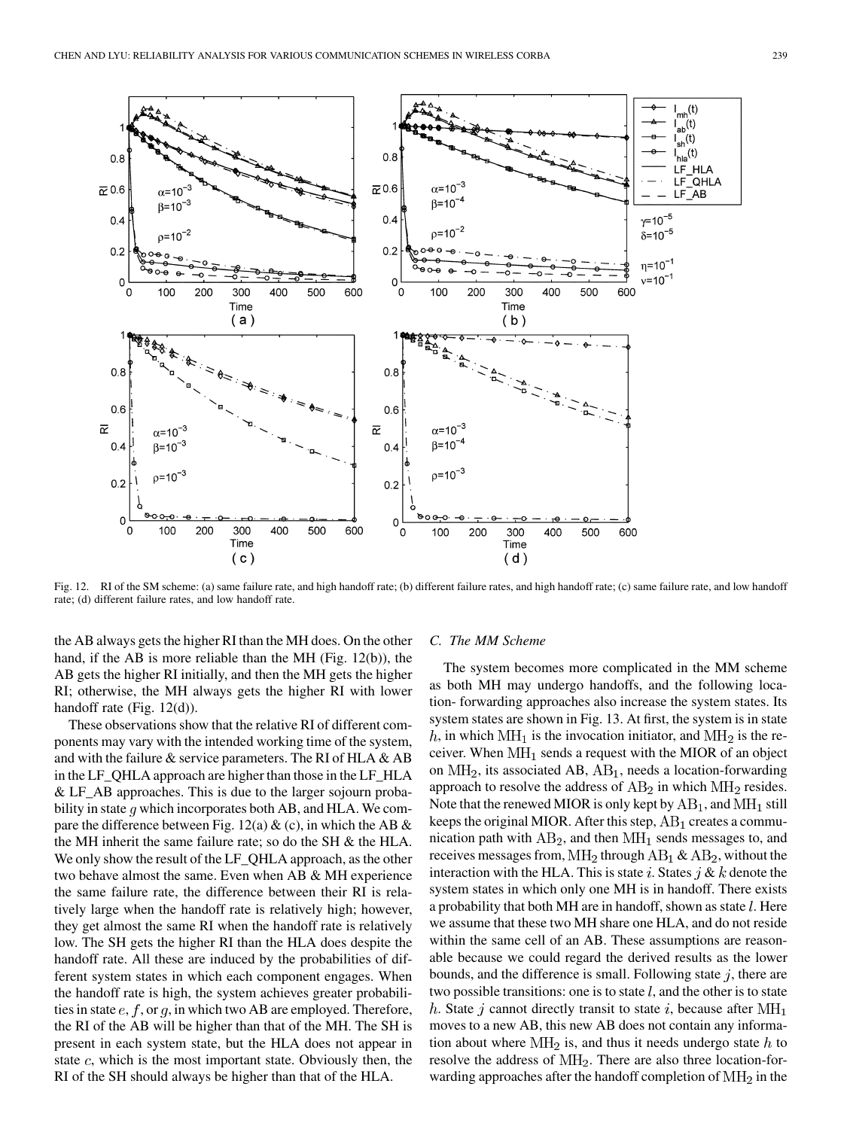

Fig. 12. RI of the SM scheme: (a) same failure rate, and high handoff rate; (b) different failure rates, and high handoff rate; (c) same failure rate, and low handoff rate; (d) different failure rates, and low handoff rate.

the AB always gets the higher RI than the MH does. On the other hand, if the AB is more reliable than the MH (Fig. 12(b)), the AB gets the higher RI initially, and then the MH gets the higher RI; otherwise, the MH always gets the higher RI with lower handoff rate (Fig. 12(d)).

These observations show that the relative RI of different components may vary with the intended working time of the system, and with the failure  $\&$  service parameters. The RI of HLA  $\&$  AB in the LF\_QHLA approach are higher than those in the LF\_HLA & LF\_AB approaches. This is due to the larger sojourn probability in state  $q$  which incorporates both AB, and HLA. We compare the difference between Fig. 12(a)  $\&$  (c), in which the AB  $\&$ the MH inherit the same failure rate; so do the SH & the HLA. We only show the result of the LF\_QHLA approach, as the other two behave almost the same. Even when AB & MH experience the same failure rate, the difference between their RI is relatively large when the handoff rate is relatively high; however, they get almost the same RI when the handoff rate is relatively low. The SH gets the higher RI than the HLA does despite the handoff rate. All these are induced by the probabilities of different system states in which each component engages. When the handoff rate is high, the system achieves greater probabilities in state  $e, f, \text{or } g$ , in which two AB are employed. Therefore, the RI of the AB will be higher than that of the MH. The SH is present in each system state, but the HLA does not appear in state  $c$ , which is the most important state. Obviously then, the RI of the SH should always be higher than that of the HLA.

## *C. The MM Scheme*

The system becomes more complicated in the MM scheme as both MH may undergo handoffs, and the following location- forwarding approaches also increase the system states. Its system states are shown in Fig. 13. At first, the system is in state h, in which  $\text{MH}_1$  is the invocation initiator, and  $\text{MH}_2$  is the receiver. When  $\text{MH}_1$  sends a request with the MIOR of an object on  $\text{MH}_2$ , its associated AB,  $\text{AB}_1$ , needs a location-forwarding approach to resolve the address of  $AB_2$  in which  $MH_2$  resides. Note that the renewed MIOR is only kept by  $AB_1$ , and  $MH_1$  still keeps the original MIOR. After this step,  $AB_1$  creates a communication path with  $AB_2$ , and then  $MH_1$  sends messages to, and receives messages from,  $\text{MH}_2$  through  $\text{AB}_1 \& \text{AB}_2$ , without the interaction with the HLA. This is state i. States  $j \& k$  denote the system states in which only one MH is in handoff. There exists a probability that both MH are in handoff, shown as state  $l$ . Here we assume that these two MH share one HLA, and do not reside within the same cell of an AB. These assumptions are reasonable because we could regard the derived results as the lower bounds, and the difference is small. Following state  $j$ , there are two possible transitions: one is to state  $l$ , and the other is to state h. State j cannot directly transit to state i, because after  $\text{MH}_1$ moves to a new AB, this new AB does not contain any information about where  $\text{MH}_2$  is, and thus it needs undergo state h to resolve the address of  $\text{MH}_2$ . There are also three location-forwarding approaches after the handoff completion of  $\text{MH}_2$  in the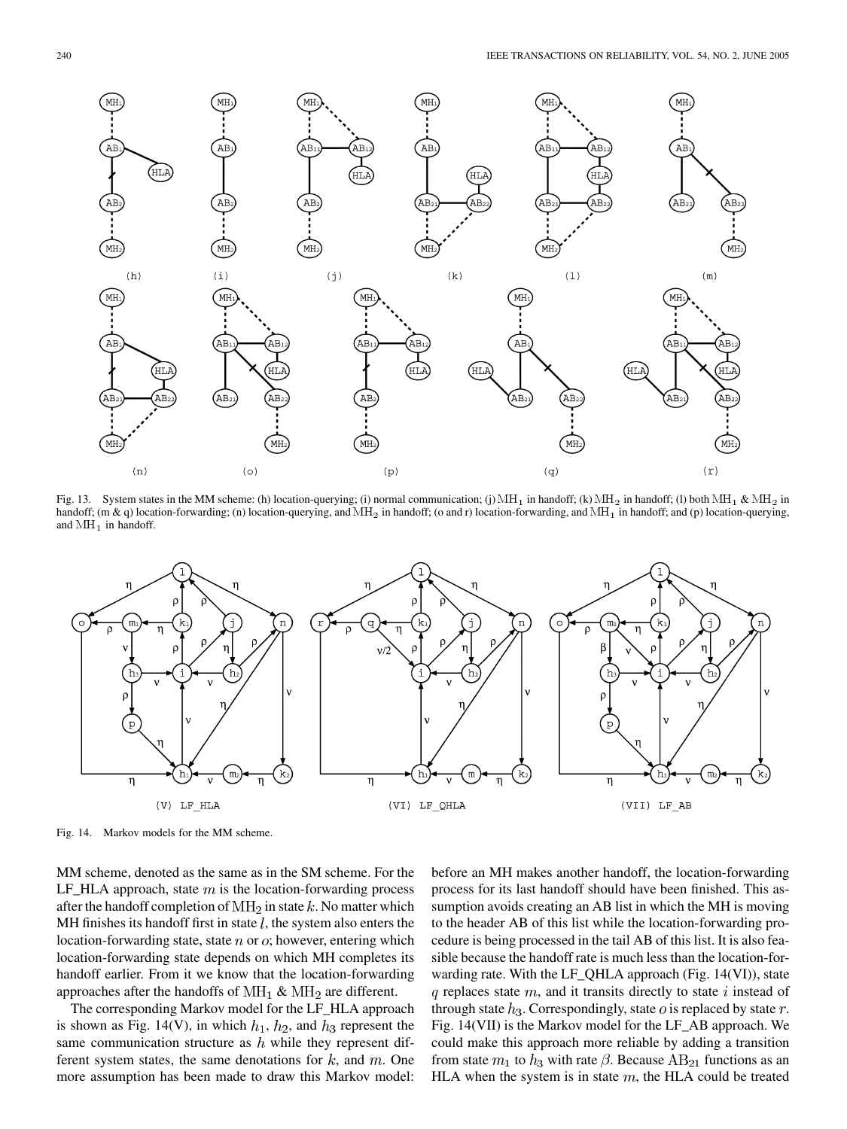

Fig. 13. System states in the MM scheme: (h) location-querying; (i) normal communication; (j) MH<sub>1</sub> in handoff; (k) MH<sub>2</sub> in handoff; (l) both MH<sub>1</sub> & MH<sub>2</sub> in handoff; (m & q) location-forwarding; (n) location-querying, and  $MH_2$  in handoff; (o and r) location-forwarding, and  $MH_1$  in handoff; and (p) location-querying, and  $MH<sub>1</sub>$  in handoff.



Fig. 14. Markov models for the MM scheme.

MM scheme, denoted as the same as in the SM scheme. For the LF\_HLA approach, state  $m$  is the location-forwarding process after the handoff completion of  $\text{MH}_2$  in state k. No matter which MH finishes its handoff first in state  $l$ , the system also enters the location-forwarding state, state  $n$  or  $o$ ; however, entering which location-forwarding state depends on which MH completes its handoff earlier. From it we know that the location-forwarding approaches after the handoffs of  $\text{MH}_1$  &  $\text{MH}_2$  are different.

The corresponding Markov model for the LF\_HLA approach is shown as Fig. 14(V), in which  $h_1$ ,  $h_2$ , and  $h_3$  represent the same communication structure as  $h$  while they represent different system states, the same denotations for  $k$ , and  $m$ . One more assumption has been made to draw this Markov model: before an MH makes another handoff, the location-forwarding process for its last handoff should have been finished. This assumption avoids creating an AB list in which the MH is moving to the header AB of this list while the location-forwarding procedure is being processed in the tail AB of this list. It is also feasible because the handoff rate is much less than the location-forwarding rate. With the LF\_QHLA approach (Fig. 14(VI)), state  $q$  replaces state  $m$ , and it transits directly to state i instead of through state  $h_3$ . Correspondingly, state  $o$  is replaced by state  $r$ . Fig. 14(VII) is the Markov model for the LF\_AB approach. We could make this approach more reliable by adding a transition from state  $m_1$  to  $h_3$  with rate  $\beta$ . Because AB<sub>21</sub> functions as an HLA when the system is in state  $m$ , the HLA could be treated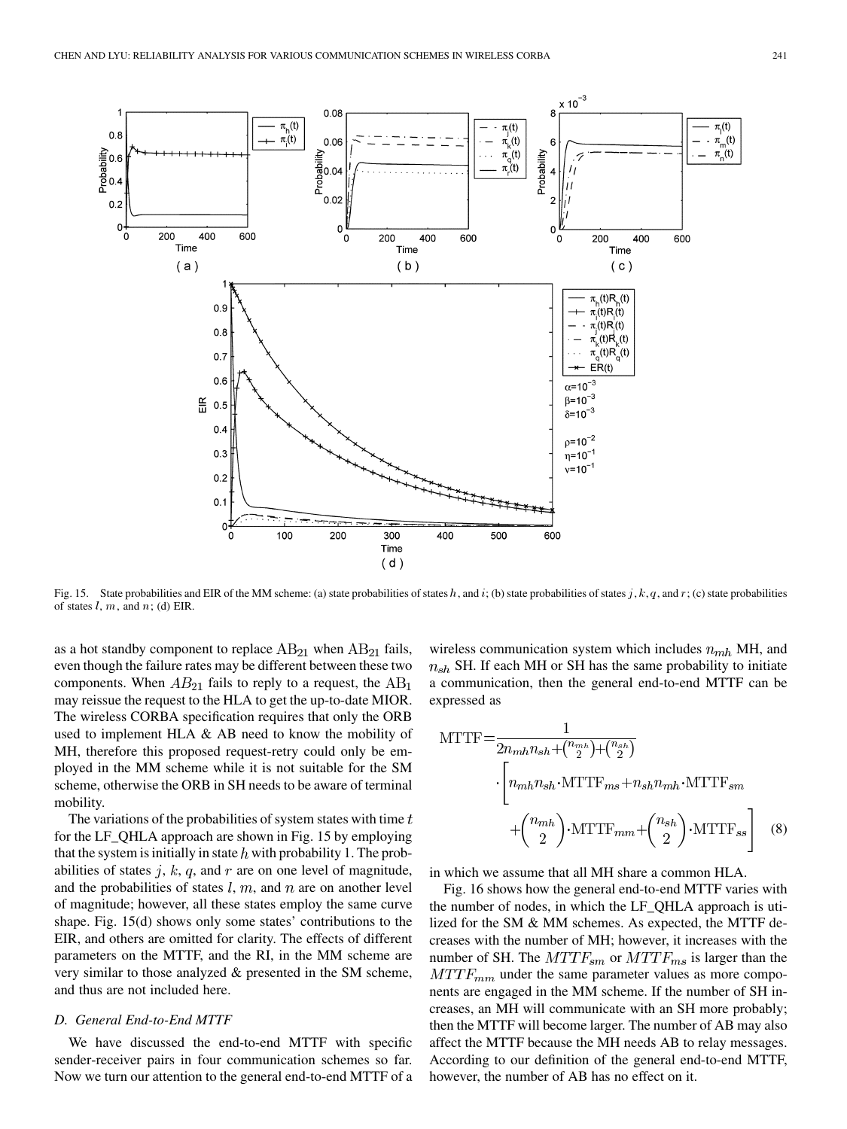

Fig. 15. State probabilities and EIR of the MM scheme: (a) state probabilities of states h, and i; (b) state probabilities of states j, k, q, and r; (c) state probabilities of states  $l, m$ , and  $n$ ; (d) EIR.

as a hot standby component to replace  $AB_{21}$  when  $AB_{21}$  fails, even though the failure rates may be different between these two components. When  $AB_{21}$  fails to reply to a request, the  $AB_1$ may reissue the request to the HLA to get the up-to-date MIOR. The wireless CORBA specification requires that only the ORB used to implement HLA & AB need to know the mobility of MH, therefore this proposed request-retry could only be employed in the MM scheme while it is not suitable for the SM scheme, otherwise the ORB in SH needs to be aware of terminal mobility.

The variations of the probabilities of system states with time  $t$ for the LF\_QHLA approach are shown in Fig. 15 by employing that the system is initially in state  $h$  with probability 1. The probabilities of states  $j, k, q$ , and  $r$  are on one level of magnitude, and the probabilities of states  $l, m$ , and  $n$  are on another level of magnitude; however, all these states employ the same curve shape. Fig. 15(d) shows only some states' contributions to the EIR, and others are omitted for clarity. The effects of different parameters on the MTTF, and the RI, in the MM scheme are very similar to those analyzed & presented in the SM scheme, and thus are not included here.

# *D. General End-to-End MTTF*

We have discussed the end-to-end MTTF with specific sender-receiver pairs in four communication schemes so far. Now we turn our attention to the general end-to-end MTTF of a wireless communication system which includes  $n_{mh}$  MH, and  $n_{sh}$  SH. If each MH or SH has the same probability to initiate a communication, then the general end-to-end MTTF can be expressed as

$$
MTTF = \frac{1}{2n_{mh}n_{sh} + {n_{mh} \choose 2} + {n_{sh} \choose 2}}
$$

$$
\cdot \left[n_{mh}n_{sh} \cdot MTTF_{ms} + n_{sh}n_{mh} \cdot MTTF_{sm} + {n_{mh} \choose 2} \cdot MTTF_{mm} + {n_{sh} \choose 2} \cdot MTTF_{ss}\right]
$$
(8)

in which we assume that all MH share a common HLA.

Fig. 16 shows how the general end-to-end MTTF varies with the number of nodes, in which the LF\_QHLA approach is utilized for the SM & MM schemes. As expected, the MTTF decreases with the number of MH; however, it increases with the number of SH. The  $MTTF_{sm}$  or  $MTTF_{ms}$  is larger than the  $MTTF_{mm}$  under the same parameter values as more components are engaged in the MM scheme. If the number of SH increases, an MH will communicate with an SH more probably; then the MTTF will become larger. The number of AB may also affect the MTTF because the MH needs AB to relay messages. According to our definition of the general end-to-end MTTF, however, the number of AB has no effect on it.